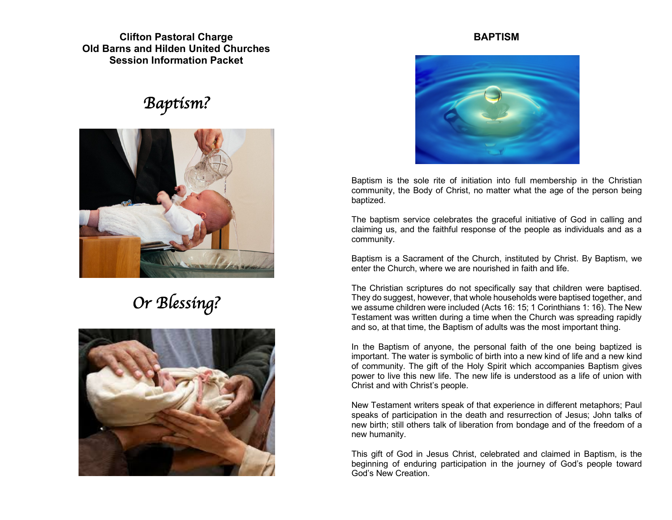**Clifton Pastoral Charge Old Barns and Hilden United Churches Session Information Packet**

# *Baptism?*



# *Or Blessing?*



#### **BAPTISM**



Baptism is the sole rite of initiation into full membership in the Christian community, the Body of Christ, no matter what the age of the person being baptized.

The baptism service celebrates the graceful initiative of God in calling and claiming us, and the faithful response of the people as individuals and as a community.

Baptism is a Sacrament of the Church, instituted by Christ. By Baptism, we enter the Church, where we are nourished in faith and life.

The Christian scriptures do not specifically say that children were baptised. They do suggest, however, that whole households were baptised together, and we assume children were included (Acts 16: 15; 1 Corinthians 1: 16). The New Testament was written during a time when the Church was spreading rapidly and so, at that time, the Baptism of adults was the most important thing.

In the Baptism of anyone, the personal faith of the one being baptized is important. The water is symbolic of birth into a new kind of life and a new kind of community. The gift of the Holy Spirit which accompanies Baptism gives power to live this new life. The new life is understood as a life of union with Christ and with Christ's people.

New Testament writers speak of that experience in different metaphors; Paul speaks of participation in the death and resurrection of Jesus; John talks of new birth; still others talk of liberation from bondage and of the freedom of a new humanity.

This gift of God in Jesus Christ, celebrated and claimed in Baptism, is the beginning of enduring participation in the journey of God's people toward God's New Creation.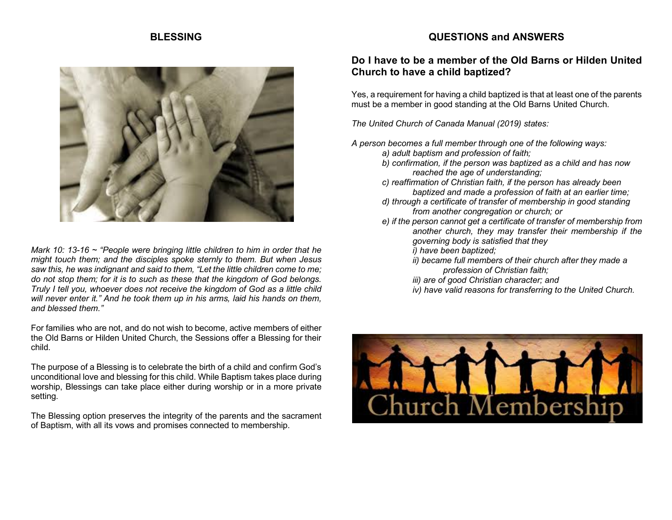#### **BLESSING**



*Mark 10: 13-16 ~ "People were bringing little children to him in order that he might touch them; and the disciples spoke sternly to them. But when Jesus saw this, he was indignant and said to them, "Let the little children come to me; do not stop them; for it is to such as these that the kingdom of God belongs. Truly I tell you, whoever does not receive the kingdom of God as a little child will never enter it." And he took them up in his arms, laid his hands on them, and blessed them."*

For families who are not, and do not wish to become, active members of either the Old Barns or Hilden United Church, the Sessions offer a Blessing for their child.

The purpose of a Blessing is to celebrate the birth of a child and confirm God's unconditional love and blessing for this child. While Baptism takes place during worship, Blessings can take place either during worship or in a more private setting.

The Blessing option preserves the integrity of the parents and the sacrament of Baptism, with all its vows and promises connected to membership.

#### **QUESTIONS and ANSWERS**

#### **Do I have to be a member of the Old Barns or Hilden United Church to have a child baptized?**

Yes, a requirement for having a child baptized is that at least one of the parents must be a member in good standing at the Old Barns United Church.

*The United Church of Canada Manual (2019) states:*

*A person becomes a full member through one of the following ways:*

- *a) adult baptism and profession of faith;*
- *b) confirmation, if the person was baptized as a child and has now reached the age of understanding;*
- *c) reaffirmation of Christian faith, if the person has already been baptized and made a profession of faith at an earlier time;*
- *d) through a certificate of transfer of membership in good standing from another congregation or church; or*
- *e) if the person cannot get a certificate of transfer of membership from another church, they may transfer their membership if the governing body is satisfied that they i) have been baptized;*
	- *ii) became full members of their church after they made a profession of Christian faith;*
	- *iii) are of good Christian character; and*
	- *iv) have valid reasons for transferring to the United Church.*

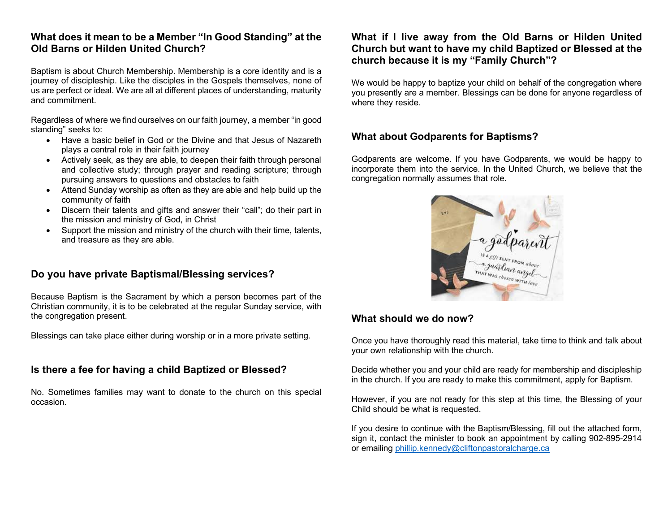#### **What does it mean to be a Member "In Good Standing" at the Old Barns or Hilden United Church?**

Baptism is about Church Membership. Membership is a core identity and is a journey of discipleship. Like the disciples in the Gospels themselves, none of us are perfect or ideal. We are all at different places of understanding, maturity and commitment.

Regardless of where we find ourselves on our faith journey, a member "in good standing" seeks to:

- Have a basic belief in God or the Divine and that Jesus of Nazareth plays a central role in their faith journey
- Actively seek, as they are able, to deepen their faith through personal and collective study; through prayer and reading scripture; through pursuing answers to questions and obstacles to faith
- Attend Sunday worship as often as they are able and help build up the community of faith
- Discern their talents and gifts and answer their "call"; do their part in the mission and ministry of God, in Christ
- Support the mission and ministry of the church with their time, talents, and treasure as they are able.

#### **Do you have private Baptismal/Blessing services?**

Because Baptism is the Sacrament by which a person becomes part of the Christian community, it is to be celebrated at the regular Sunday service, with the congregation present.

Blessings can take place either during worship or in a more private setting.

#### **Is there a fee for having a child Baptized or Blessed?**

No. Sometimes families may want to donate to the church on this special occasion.

#### **What if I live away from the Old Barns or Hilden United Church but want to have my child Baptized or Blessed at the church because it is my "Family Church"?**

We would be happy to baptize your child on behalf of the congregation where you presently are a member. Blessings can be done for anyone regardless of where they reside.

### **What about Godparents for Baptisms?**

Godparents are welcome. If you have Godparents, we would be happy to incorporate them into the service. In the United Church, we believe that the congregation normally assumes that role.



#### **What should we do now?**

Once you have thoroughly read this material, take time to think and talk about your own relationship with the church.

Decide whether you and your child are ready for membership and discipleship in the church. If you are ready to make this commitment, apply for Baptism.

However, if you are not ready for this step at this time, the Blessing of your Child should be what is requested.

If you desire to continue with the Baptism/Blessing, fill out the attached form, sign it, contact the minister to book an appointment by calling 902-895-2914 or emailing phillip.kennedy@cliftonpastoralcharge.ca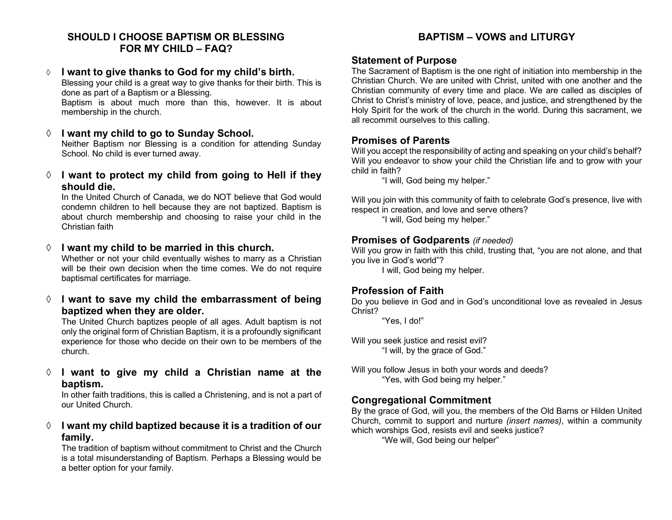#### **SHOULD I CHOOSE BAPTISM OR BLESSING FOR MY CHILD – FAQ?**

#### à **I want to give thanks to God for my child's birth.**

Blessing your child is a great way to give thanks for their birth. This is done as part of a Baptism or a Blessing.

Baptism is about much more than this, however. It is about membership in the church.

#### à **I want my child to go to Sunday School.**

Neither Baptism nor Blessing is a condition for attending Sunday School. No child is ever turned away.

#### à **I want to protect my child from going to Hell if they should die.**

In the United Church of Canada, we do NOT believe that God would condemn children to hell because they are not baptized. Baptism is about church membership and choosing to raise your child in the Christian faith

#### à **I want my child to be married in this church.**

Whether or not your child eventually wishes to marry as a Christian will be their own decision when the time comes. We do not require baptismal certificates for marriage.

#### à **I want to save my child the embarrassment of being baptized when they are older.**

The United Church baptizes people of all ages. Adult baptism is not only the original form of Christian Baptism, it is a profoundly significant experience for those who decide on their own to be members of the church.

#### à **I want to give my child a Christian name at the baptism.**

In other faith traditions, this is called a Christening, and is not a part of our United Church.

#### à **I want my child baptized because it is a tradition of our family.**

The tradition of baptism without commitment to Christ and the Church is a total misunderstanding of Baptism. Perhaps a Blessing would be a better option for your family.

## **BAPTISM – VOWS and LITURGY**

#### **Statement of Purpose**

The Sacrament of Baptism is the one right of initiation into membership in the Christian Church. We are united with Christ, united with one another and the Christian community of every time and place. We are called as disciples of Christ to Christ's ministry of love, peace, and justice, and strengthened by the Holy Spirit for the work of the church in the world. During this sacrament, we all recommit ourselves to this calling.

#### **Promises of Parents**

Will you accept the responsibility of acting and speaking on your child's behalf? Will you endeavor to show your child the Christian life and to grow with your child in faith?

"I will, God being my helper."

Will you join with this community of faith to celebrate God's presence, live with respect in creation, and love and serve others?

"I will, God being my helper."

#### **Promises of Godparents** *(if needed)*

Will you grow in faith with this child, trusting that, "you are not alone, and that you live in God's world"?

I will, God being my helper.

#### **Profession of Faith**

Do you believe in God and in God's unconditional love as revealed in Jesus Christ?

"Yes, I do!"

Will you seek justice and resist evil? "I will, by the grace of God."

Will you follow Jesus in both your words and deeds? "Yes, with God being my helper."

#### **Congregational Commitment**

By the grace of God, will you, the members of the Old Barns or Hilden United Church, commit to support and nurture *(insert names)*, within a community which worships God, resists evil and seeks justice?

"We will, God being our helper"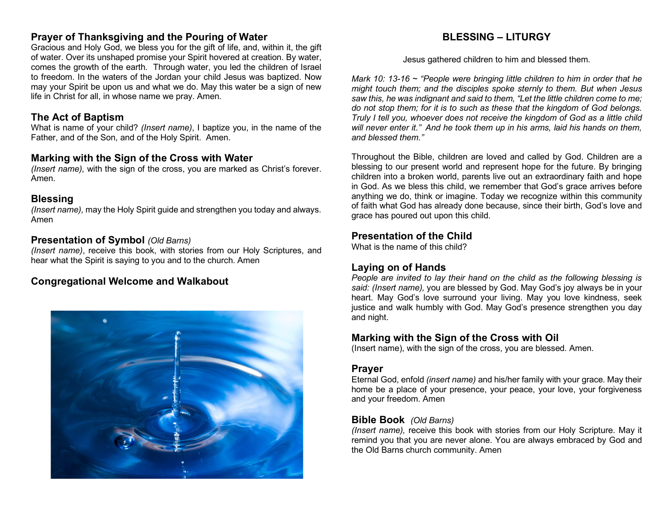#### **Prayer of Thanksgiving and the Pouring of Water**

Gracious and Holy God, we bless you for the gift of life, and, within it, the gift of water. Over its unshaped promise your Spirit hovered at creation. By water, comes the growth of the earth. Through water, you led the children of Israel to freedom. In the waters of the Jordan your child Jesus was baptized. Now may your Spirit be upon us and what we do. May this water be a sign of new life in Christ for all, in whose name we pray. Amen.

#### **The Act of Baptism**

What is name of your child? *(Insert name)*, I baptize you, in the name of the Father, and of the Son, and of the Holy Spirit. Amen.

#### **Marking with the Sign of the Cross with Water**

*(Insert name)*, with the sign of the cross, you are marked as Christ's forever. Amen.

#### **Blessing**

*(Insert name),* may the Holy Spirit guide and strengthen you today and always. Amen

#### **Presentation of Symbol** *(Old Barns)*

*(Insert name)*, receive this book, with stories from our Holy Scriptures, and hear what the Spirit is saying to you and to the church. Amen

#### **Congregational Welcome and Walkabout**



### **BLESSING – LITURGY**

Jesus gathered children to him and blessed them.

*Mark 10: 13-16 ~ "People were bringing little children to him in order that he might touch them; and the disciples spoke sternly to them. But when Jesus saw this, he was indignant and said to them, "Let the little children come to me; do not stop them; for it is to such as these that the kingdom of God belongs. Truly I tell you, whoever does not receive the kingdom of God as a little child will never enter it." And he took them up in his arms, laid his hands on them, and blessed them."*

Throughout the Bible, children are loved and called by God. Children are a blessing to our present world and represent hope for the future. By bringing children into a broken world, parents live out an extraordinary faith and hope in God. As we bless this child, we remember that God's grace arrives before anything we do, think or imagine. Today we recognize within this community of faith what God has already done because, since their birth, God's love and grace has poured out upon this child.

#### **Presentation of the Child**

What is the name of this child?

#### **Laying on of Hands**

*People are invited to lay their hand on the child as the following blessing is said: (Insert name),* you are blessed by God. May God's joy always be in your heart. May God's love surround your living. May you love kindness, seek justice and walk humbly with God. May God's presence strengthen you day and night.

#### **Marking with the Sign of the Cross with Oil**

(Insert name), with the sign of the cross, you are blessed. Amen.

#### **Prayer**

Eternal God, enfold *(insert name)* and his/her family with your grace. May their home be a place of your presence, your peace, your love, your forgiveness and your freedom. Amen

#### **Bible Book** *(Old Barns)*

*(Insert name),* receive this book with stories from our Holy Scripture. May it remind you that you are never alone. You are always embraced by God and the Old Barns church community. Amen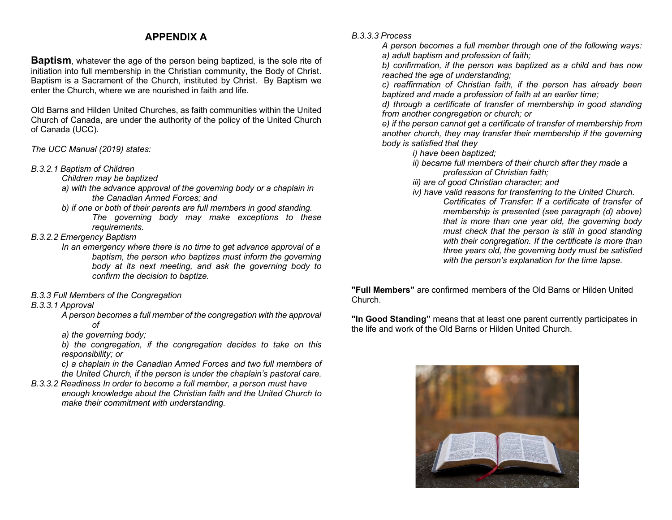#### **APPENDIX A**

**Baptism**, whatever the age of the person being baptized, is the sole rite of initiation into full membership in the Christian community, the Body of Christ. Baptism is a Sacrament of the Church, instituted by Christ. By Baptism we enter the Church, where we are nourished in faith and life.

Old Barns and Hilden United Churches, as faith communities within the United Church of Canada, are under the authority of the policy of the United Church of Canada (UCC).

#### *The UCC Manual (2019) states:*

- *B.3.2.1 Baptism of Children* 
	- *Children may be baptized*
	- *a) with the advance approval of the governing body or a chaplain in the Canadian Armed Forces; and*
	- *b) if one or both of their parents are full members in good standing. The governing body may make exceptions to these requirements.*
- *B.3.2.2 Emergency Baptism* 
	- *In an emergency where there is no time to get advance approval of a baptism, the person who baptizes must inform the governing body at its next meeting, and ask the governing body to confirm the decision to baptize.*
- *B.3.3 Full Members of the Congregation*

#### *B.3.3.1 Approval*

*A person becomes a full member of the congregation with the approval of* 

*a) the governing body;* 

*b) the congregation, if the congregation decides to take on this responsibility; or* 

*c) a chaplain in the Canadian Armed Forces and two full members of the United Church, if the person is under the chaplain's pastoral care.*

*B.3.3.2 Readiness In order to become a full member, a person must have enough knowledge about the Christian faith and the United Church to make their commitment with understanding.* 

*B.3.3.3 Process* 

*A person becomes a full member through one of the following ways: a) adult baptism and profession of faith;* 

*b) confirmation, if the person was baptized as a child and has now reached the age of understanding;* 

*c) reaffirmation of Christian faith, if the person has already been baptized and made a profession of faith at an earlier time;* 

*d) through a certificate of transfer of membership in good standing from another congregation or church; or* 

*e) if the person cannot get a certificate of transfer of membership from another church, they may transfer their membership if the governing body is satisfied that they* 

*i) have been baptized;* 

*ii) became full members of their church after they made a profession of Christian faith;* 

*iii) are of good Christian character; and* 

- *iv) have valid reasons for transferring to the United Church.* 
	- *Certificates of Transfer: If a certificate of transfer of membership is presented (see paragraph (d) above) that is more than one year old, the governing body must check that the person is still in good standing with their congregation. If the certificate is more than three years old, the governing body must be satisfied with the person's explanation for the time lapse.*

**"Full Members"** are confirmed members of the Old Barns or Hilden United Church.

**"In Good Standing"** means that at least one parent currently participates in the life and work of the Old Barns or Hilden United Church.

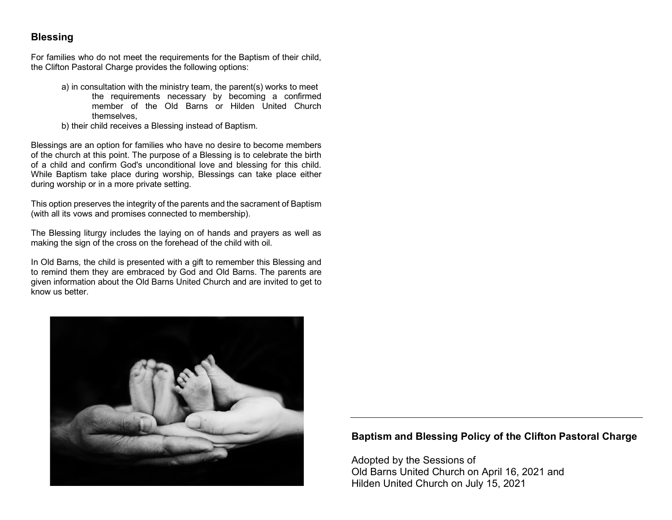#### **Blessing**

For families who do not meet the requirements for the Baptism of their child, the Clifton Pastoral Charge provides the following options:

- a) in consultation with the ministry team, the parent(s) works to meet the requirements necessary by becoming a confirmed member of the Old Barns or Hilden United Church themselves,
- b) their child receives a Blessing instead of Baptism.

Blessings are an option for families who have no desire to become members of the church at this point. The purpose of a Blessing is to celebrate the birth of a child and confirm God's unconditional love and blessing for this child. While Baptism take place during worship, Blessings can take place either during worship or in a more private setting.

This option preserves the integrity of the parents and the sacrament of Baptism (with all its vows and promises connected to membership).

The Blessing liturgy includes the laying on of hands and prayers as well as making the sign of the cross on the forehead of the child with oil.

In Old Barns, the child is presented with a gift to remember this Blessing and to remind them they are embraced by God and Old Barns. The parents are given information about the Old Barns United Church and are invited to get to know us better.



#### **Baptism and Blessing Policy of the Clifton Pastoral Charge**

Adopted by the Sessions of Old Barns United Church on April 16, 2021 and Hilden United Church on July 15, 2021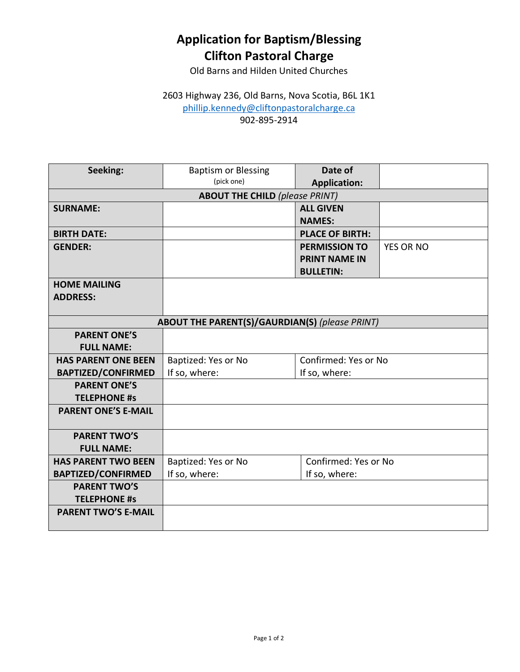## **Application for Baptism/Blessing Clifton Pastoral Charge**

Old Barns and Hilden United Churches

### 2603 Highway 236, Old Barns, Nova Scotia, B6L 1K1 phillip.kennedy@cliftonpastoralcharge.ca 902-895-2914

| Seeking:                                              | <b>Baptism or Blessing</b> | Date of                |                  |  |
|-------------------------------------------------------|----------------------------|------------------------|------------------|--|
|                                                       | (pick one)                 | <b>Application:</b>    |                  |  |
| <b>ABOUT THE CHILD (please PRINT)</b>                 |                            |                        |                  |  |
| <b>SURNAME:</b>                                       |                            | <b>ALL GIVEN</b>       |                  |  |
|                                                       |                            | <b>NAMES:</b>          |                  |  |
| <b>BIRTH DATE:</b>                                    |                            | <b>PLACE OF BIRTH:</b> |                  |  |
| <b>GENDER:</b>                                        |                            | <b>PERMISSION TO</b>   | <b>YES OR NO</b> |  |
|                                                       |                            | <b>PRINT NAME IN</b>   |                  |  |
|                                                       |                            | <b>BULLETIN:</b>       |                  |  |
| <b>HOME MAILING</b>                                   |                            |                        |                  |  |
| <b>ADDRESS:</b>                                       |                            |                        |                  |  |
|                                                       |                            |                        |                  |  |
| <b>ABOUT THE PARENT(S)/GAURDIAN(S)</b> (please PRINT) |                            |                        |                  |  |
| <b>PARENT ONE'S</b>                                   |                            |                        |                  |  |
| <b>FULL NAME:</b>                                     |                            |                        |                  |  |
| <b>HAS PARENT ONE BEEN</b>                            | Baptized: Yes or No        | Confirmed: Yes or No   |                  |  |
| <b>BAPTIZED/CONFIRMED</b>                             | If so, where:              | If so, where:          |                  |  |
| <b>PARENT ONE'S</b>                                   |                            |                        |                  |  |
| <b>TELEPHONE #s</b>                                   |                            |                        |                  |  |
| <b>PARENT ONE'S E-MAIL</b>                            |                            |                        |                  |  |
|                                                       |                            |                        |                  |  |
| <b>PARENT TWO'S</b>                                   |                            |                        |                  |  |
| <b>FULL NAME:</b>                                     |                            |                        |                  |  |
| <b>HAS PARENT TWO BEEN</b>                            | Baptized: Yes or No        | Confirmed: Yes or No   |                  |  |
| <b>BAPTIZED/CONFIRMED</b>                             | If so, where:              | If so, where:          |                  |  |
| <b>PARENT TWO'S</b>                                   |                            |                        |                  |  |
| <b>TELEPHONE #s</b>                                   |                            |                        |                  |  |
| <b>PARENT TWO'S E-MAIL</b>                            |                            |                        |                  |  |
|                                                       |                            |                        |                  |  |